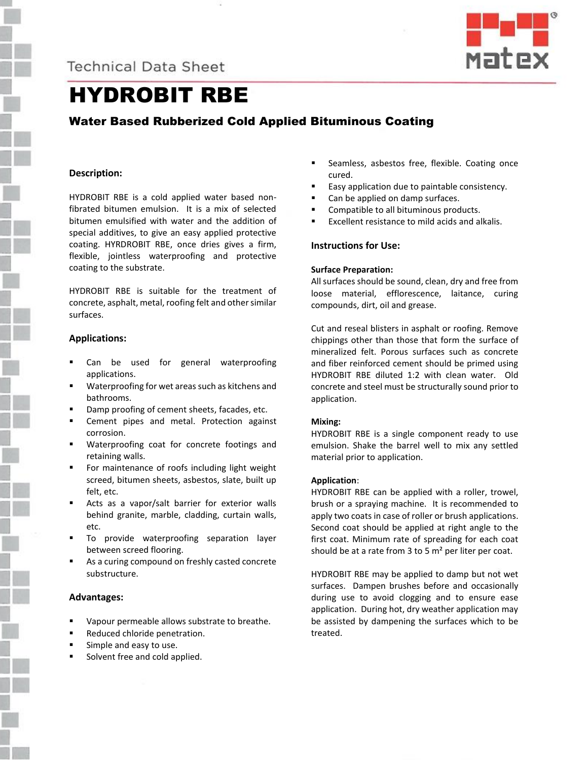



# HYDROBIT RBE

# Water Based Rubberized Cold Applied Bituminous Coating

# **Description:**

HYDROBIT RBE is a cold applied water based nonfibrated bitumen emulsion. It is a mix of selected bitumen emulsified with water and the addition of special additives, to give an easy applied protective coating. HYRDROBIT RBE, once dries gives a firm, flexible, jointless waterproofing and protective coating to the substrate.

HYDROBIT RBE is suitable for the treatment of concrete, asphalt, metal, roofing felt and other similar surfaces.

# **Applications:**

- Can be used for general waterproofing applications.
- Waterproofing for wet areas such as kitchens and bathrooms.
- Damp proofing of cement sheets, facades, etc.
- Cement pipes and metal. Protection against corrosion.
- Waterproofing coat for concrete footings and retaining walls.
- For maintenance of roofs including light weight screed, bitumen sheets, asbestos, slate, built up felt, etc.
- Acts as a vapor/salt barrier for exterior walls behind granite, marble, cladding, curtain walls, etc.
- To provide waterproofing separation layer between screed flooring.
- As a curing compound on freshly casted concrete substructure.

## **Advantages:**

- Vapour permeable allows substrate to breathe.
- Reduced chloride penetration.
- Simple and easy to use.
- Solvent free and cold applied.
- **EXEC** Seamless, asbestos free, flexible. Coating once cured.
- Easy application due to paintable consistency.
- Can be applied on damp surfaces.
- Compatible to all bituminous products.
- Excellent resistance to mild acids and alkalis.

# **Instructions for Use:**

#### **Surface Preparation:**

All surfaces should be sound, clean, dry and free from loose material, efflorescence, laitance, curing compounds, dirt, oil and grease.

Cut and reseal blisters in asphalt or roofing. Remove chippings other than those that form the surface of mineralized felt. Porous surfaces such as concrete and fiber reinforced cement should be primed using HYDROBIT RBE diluted 1:2 with clean water. Old concrete and steel must be structurally sound prior to application.

#### **Mixing:**

HYDROBIT RBE is a single component ready to use emulsion. Shake the barrel well to mix any settled material prior to application.

## **Application**:

HYDROBIT RBE can be applied with a roller, trowel, brush or a spraying machine. It is recommended to apply two coats in case of roller or brush applications. Second coat should be applied at right angle to the first coat. Minimum rate of spreading for each coat should be at a rate from  $3$  to 5 m<sup>2</sup> per liter per coat.

HYDROBIT RBE may be applied to damp but not wet surfaces. Dampen brushes before and occasionally during use to avoid clogging and to ensure ease application. During hot, dry weather application may be assisted by dampening the surfaces which to be treated.